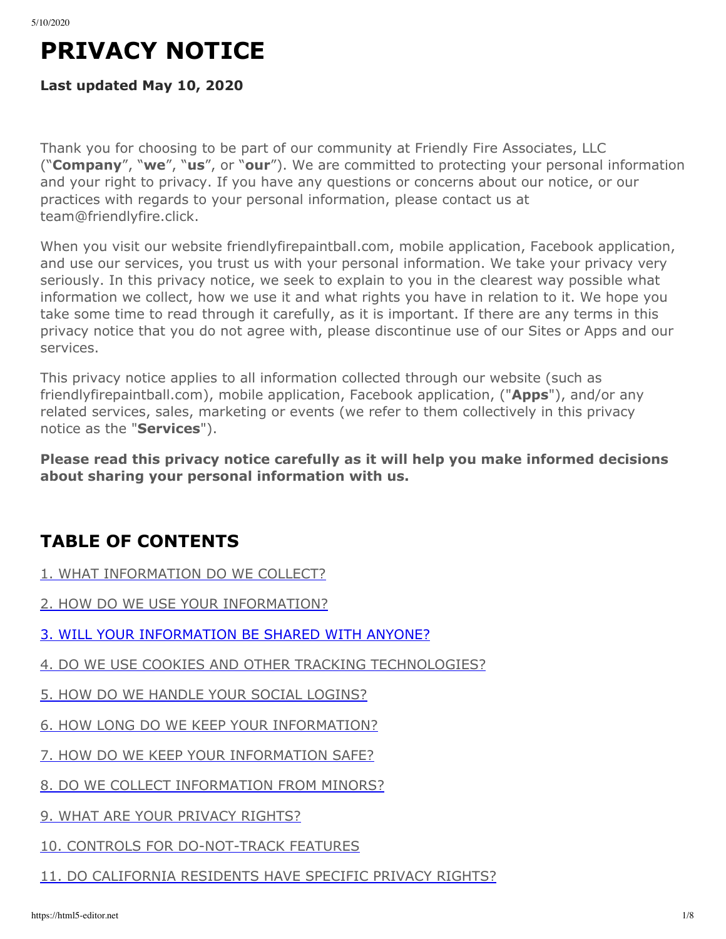# **PRIVACY NOTICE**

#### **Last updated May 10, 2020**

Thank you for choosing to be part of our community at Friendly Fire Associates, LLC ("**Company**", "**we**", "**us**", or "**our**"). We are committed to protecting your personal information and your right to privacy. If you have any questions or concerns about our notice, or our practices with regards to your personal information, please contact us at team@friendlyfire.click.

When you visit our website friendlyfirepaintball.com, mobile application, Facebook application, and use our services, you trust us with your personal information. We take your privacy very seriously. In this privacy notice, we seek to explain to you in the clearest way possible what information we collect, how we use it and what rights you have in relation to it. We hope you take some time to read through it carefully, as it is important. If there are any terms in this privacy notice that you do not agree with, please discontinue use of our Sites or Apps and our services.

This privacy notice applies to all information collected through our website (such as friendlyfirepaintball.com), mobile application, Facebook application, ("**Apps**"), and/or any related services, sales, marketing or events (we refer to them collectively in this privacy notice as the "**Services**").

**Please read this privacy notice carefully as it will help you make informed decisions about sharing your personal information with us.**

# **TABLE OF CONTENTS**

- [1. WHAT INFORMATION DO WE COLLECT?](#page-1-0)
- [2. HOW DO WE USE YOUR INFORMATION?](#page-1-1)
- [3. WILL YOUR INFORMATION BE SHARED WITH ANYONE?](#page-2-0)
- [4. DO WE USE COOKIES AND OTHER TRACKING TECHNOLOGIES?](#page-4-0)
- [5. HOW DO WE HANDLE YOUR SOCIAL LOGINS?](#page-4-1)
- [6. HOW LONG DO WE KEEP YOUR INFORMATION?](#page-4-2)
- [7. HOW DO WE KEEP YOUR INFORMATION SAFE?](#page-5-0)
- [8. DO WE COLLECT INFORMATION FROM MINORS?](#page-5-1)
- [9. WHAT ARE YOUR PRIVACY RIGHTS?](#page-5-2)
- [10. CONTROLS FOR DO-NOT-TRACK FEATURES](#page-5-3)
- [11. DO CALIFORNIA RESIDENTS HAVE SPECIFIC PRIVACY RIGHTS?](#page-6-0)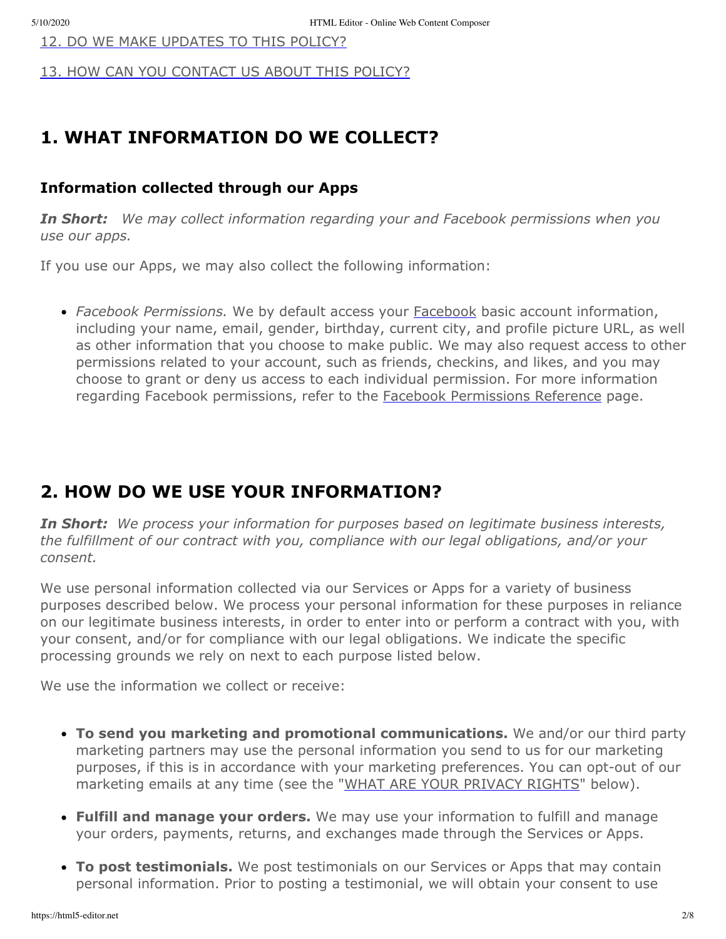[12. DO WE MAKE UPDATES TO THIS POLICY?](#page-6-1)

[13. HOW CAN YOU CONTACT US ABOUT THIS POLICY?](#page-6-2)

#### <span id="page-1-0"></span>**1. WHAT INFORMATION DO WE COLLECT?**

#### **Information collected through our Apps**

*In Short:**We may collect information regarding your and Facebook permissions when you use our apps.*

If you use our Apps, we may also collect the following information:

*Facebook Permissions.* We by default access your [Facebook](https://www.facebook.com/about/privacy/) basic account information, including your name, email, gender, birthday, current city, and profile picture URL, as well as other information that you choose to make public. We may also request access to other permissions related to your account, such as friends, checkins, and likes, and you may choose to grant or deny us access to each individual permission. For more information regarding Facebook permissions, refer to the [Facebook Permissions Reference](https://developers.facebook.com/docs/facebook-login/permissions) page.

#### <span id="page-1-1"></span>**2. HOW DO WE USE YOUR INFORMATION?**

*In Short: We process your information for purposes based on legitimate business interests, the fulfillment of our contract with you, compliance with our legal obligations, and/or your consent.*

We use personal information collected via our Services or Apps for a variety of business purposes described below. We process your personal information for these purposes in reliance on our legitimate business interests, in order to enter into or perform a contract with you, with your consent, and/or for compliance with our legal obligations. We indicate the specific processing grounds we rely on next to each purpose listed below.

We use the information we collect or receive:

- **To send you marketing and promotional communications.** We and/or our third party marketing partners may use the personal information you send to us for our marketing purposes, if this is in accordance with your marketing preferences. You can opt-out of our marketing emails at any time (see the "[WHAT ARE YOUR PRIVACY RIGHTS](#page-5-2)" below).
- **Fulfill and manage your orders.** We may use your information to fulfill and manage your orders, payments, returns, and exchanges made through the Services or Apps.
- **To post testimonials.** We post testimonials on our Services or Apps that may contain personal information. Prior to posting a testimonial, we will obtain your consent to use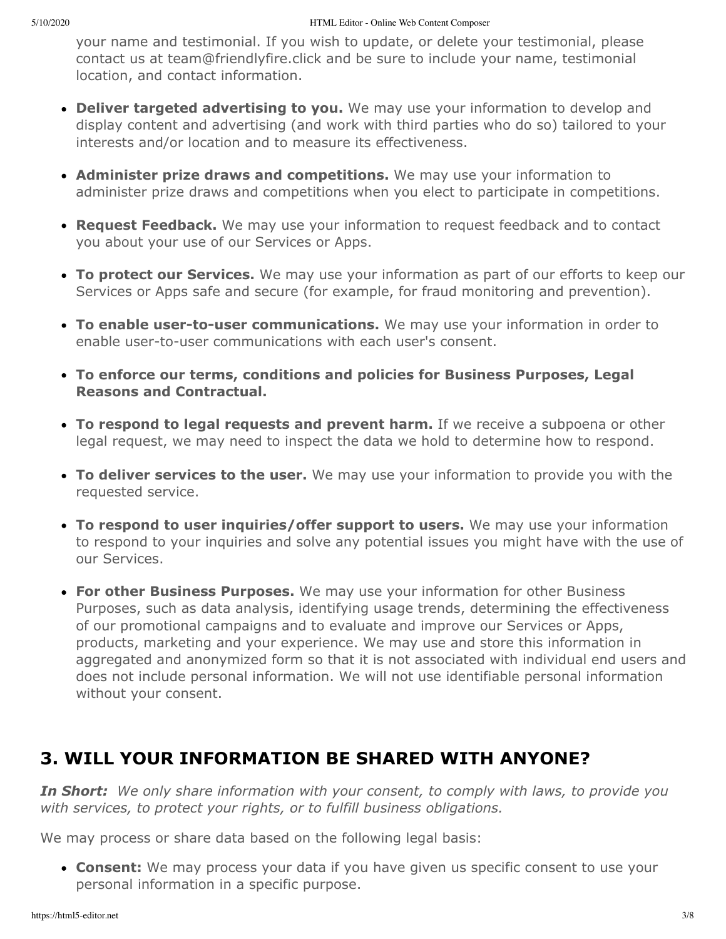your name and testimonial. If you wish to update, or delete your testimonial, please contact us at team@friendlyfire.click and be sure to include your name, testimonial location, and contact information.

- **Deliver targeted advertising to you.** We may use your information to develop and display content and advertising (and work with third parties who do so) tailored to your interests and/or location and to measure its effectiveness.
- **Administer prize draws and competitions.** We may use your information to administer prize draws and competitions when you elect to participate in competitions.
- **Request Feedback.** We may use your information to request feedback and to contact you about your use of our Services or Apps.
- **To protect our Services.** We may use your information as part of our efforts to keep our Services or Apps safe and secure (for example, for fraud monitoring and prevention).
- **To enable user-to-user communications.** We may use your information in order to enable user-to-user communications with each user's consent.
- **To enforce our terms, conditions and policies for Business Purposes, Legal Reasons and Contractual.**
- **To respond to legal requests and prevent harm.** If we receive a subpoena or other legal request, we may need to inspect the data we hold to determine how to respond.
- **To deliver services to the user.** We may use your information to provide you with the requested service.
- **To respond to user inquiries/offer support to users.** We may use your information to respond to your inquiries and solve any potential issues you might have with the use of our Services.
- **For other Business Purposes.** We may use your information for other Business Purposes, such as data analysis, identifying usage trends, determining the effectiveness of our promotional campaigns and to evaluate and improve our Services or Apps, products, marketing and your experience. We may use and store this information in aggregated and anonymized form so that it is not associated with individual end users and does not include personal information. We will not use identifiable personal information without your consent.

# <span id="page-2-0"></span>**3. WILL YOUR INFORMATION BE SHARED WITH ANYONE?**

*In Short: We only share information with your consent, to comply with laws, to provide you with services, to protect your rights, or to fulfill business obligations.*

We may process or share data based on the following legal basis:

**Consent:** We may process your data if you have given us specific consent to use your personal information in a specific purpose.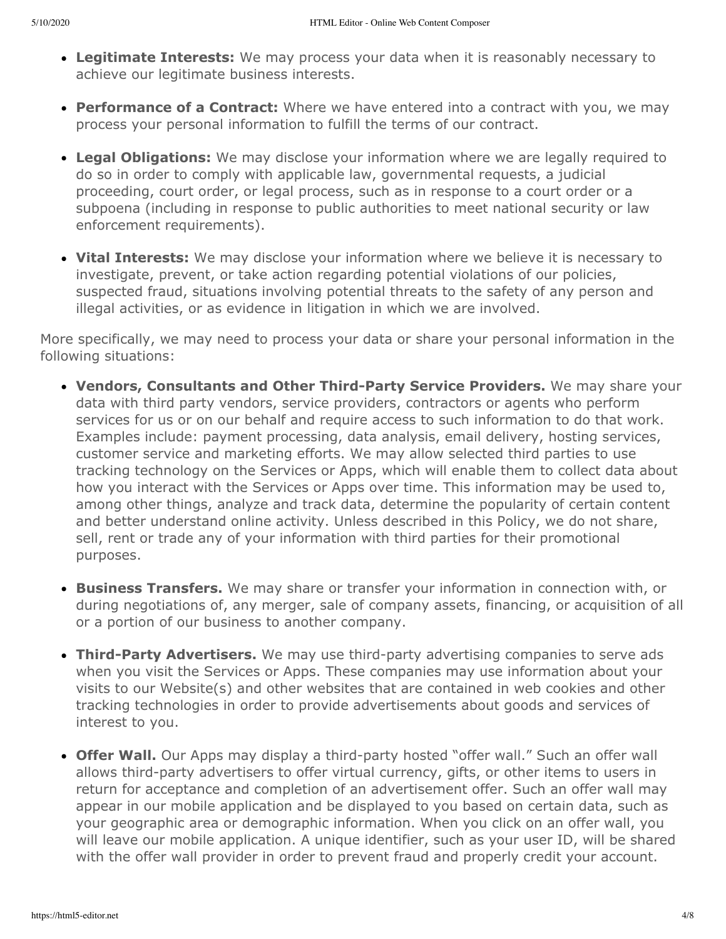- **Legitimate Interests:** We may process your data when it is reasonably necessary to achieve our legitimate business interests.
- **Performance of a Contract:** Where we have entered into a contract with you, we may process your personal information to fulfill the terms of our contract.
- **Legal Obligations:** We may disclose your information where we are legally required to do so in order to comply with applicable law, governmental requests, a judicial proceeding, court order, or legal process, such as in response to a court order or a subpoena (including in response to public authorities to meet national security or law enforcement requirements).
- **Vital Interests:** We may disclose your information where we believe it is necessary to investigate, prevent, or take action regarding potential violations of our policies, suspected fraud, situations involving potential threats to the safety of any person and illegal activities, or as evidence in litigation in which we are involved.

More specifically, we may need to process your data or share your personal information in the following situations:

- **Vendors, Consultants and Other Third-Party Service Providers.** We may share your data with third party vendors, service providers, contractors or agents who perform services for us or on our behalf and require access to such information to do that work. Examples include: payment processing, data analysis, email delivery, hosting services, customer service and marketing efforts. We may allow selected third parties to use tracking technology on the Services or Apps, which will enable them to collect data about how you interact with the Services or Apps over time. This information may be used to, among other things, analyze and track data, determine the popularity of certain content and better understand online activity. Unless described in this Policy, we do not share, sell, rent or trade any of your information with third parties for their promotional purposes.
- **Business Transfers.** We may share or transfer your information in connection with, or during negotiations of, any merger, sale of company assets, financing, or acquisition of all or a portion of our business to another company.
- **Third-Party Advertisers.** We may use third-party advertising companies to serve ads when you visit the Services or Apps. These companies may use information about your visits to our Website(s) and other websites that are contained in web cookies and other tracking technologies in order to provide advertisements about goods and services of interest to you.
- **Offer Wall.** Our Apps may display a third-party hosted "offer wall." Such an offer wall allows third-party advertisers to offer virtual currency, gifts, or other items to users in return for acceptance and completion of an advertisement offer. Such an offer wall may appear in our mobile application and be displayed to you based on certain data, such as your geographic area or demographic information. When you click on an offer wall, you will leave our mobile application. A unique identifier, such as your user ID, will be shared with the offer wall provider in order to prevent fraud and properly credit your account.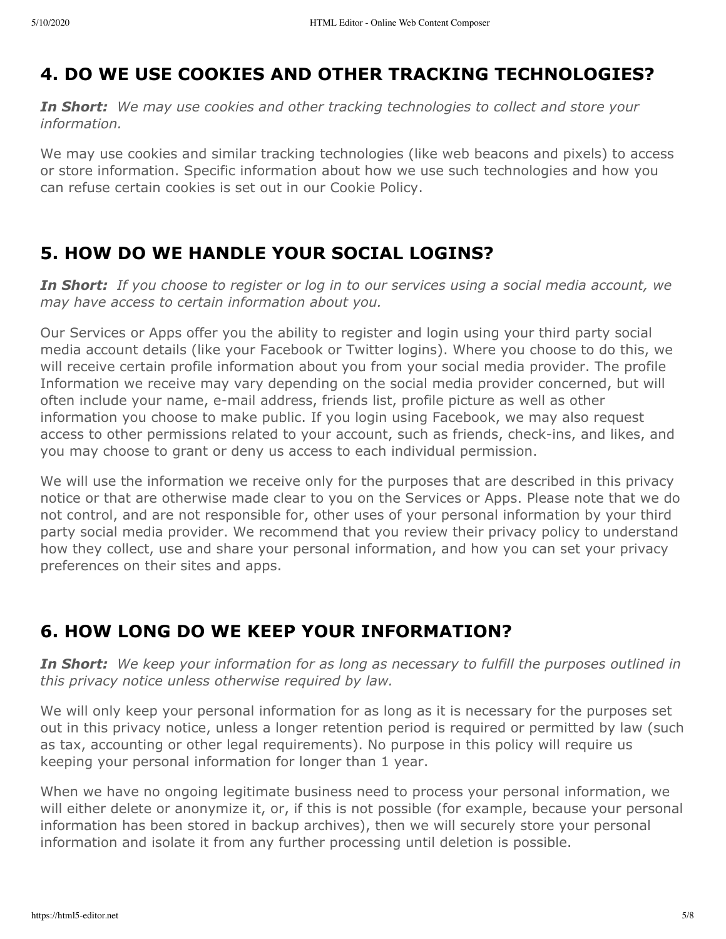# <span id="page-4-0"></span>**4. DO WE USE COOKIES AND OTHER TRACKING TECHNOLOGIES?**

*In Short: We may use cookies and other tracking technologies to collect and store your information.*

We may use cookies and similar tracking technologies (like web beacons and pixels) to access or store information. Specific information about how we use such technologies and how you can refuse certain cookies is set out in our Cookie Policy.

### <span id="page-4-1"></span>**5. HOW DO WE HANDLE YOUR SOCIAL LOGINS?**

*In Short: If you choose to register or log in to our services using a social media account, we may have access to certain information about you.*

Our Services or Apps offer you the ability to register and login using your third party social media account details (like your Facebook or Twitter logins). Where you choose to do this, we will receive certain profile information about you from your social media provider. The profile Information we receive may vary depending on the social media provider concerned, but will often include your name, e-mail address, friends list, profile picture as well as other information you choose to make public. If you login using Facebook, we may also request access to other permissions related to your account, such as friends, check-ins, and likes, and you may choose to grant or deny us access to each individual permission.

We will use the information we receive only for the purposes that are described in this privacy notice or that are otherwise made clear to you on the Services or Apps. Please note that we do not control, and are not responsible for, other uses of your personal information by your third party social media provider. We recommend that you review their privacy policy to understand how they collect, use and share your personal information, and how you can set your privacy preferences on their sites and apps.

# <span id="page-4-2"></span>**6. HOW LONG DO WE KEEP YOUR INFORMATION?**

*In Short: We keep your information for as long as necessary to fulfill the purposes outlined in this privacy notice unless otherwise required by law.*

We will only keep your personal information for as long as it is necessary for the purposes set out in this privacy notice, unless a longer retention period is required or permitted by law (such as tax, accounting or other legal requirements). No purpose in this policy will require us keeping your personal information for longer than 1 year.

When we have no ongoing legitimate business need to process your personal information, we will either delete or anonymize it, or, if this is not possible (for example, because your personal information has been stored in backup archives), then we will securely store your personal information and isolate it from any further processing until deletion is possible.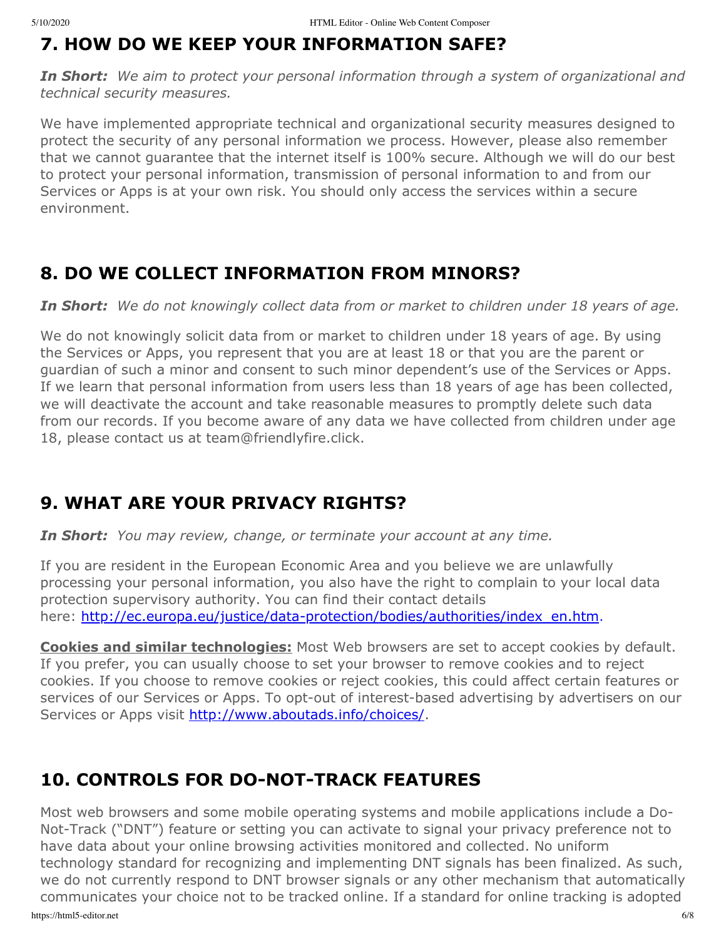### <span id="page-5-0"></span>**7. HOW DO WE KEEP YOUR INFORMATION SAFE?**

*In Short: We aim to protect your personal information through a system of organizational and technical security measures.*

We have implemented appropriate technical and organizational security measures designed to protect the security of any personal information we process. However, please also remember that we cannot guarantee that the internet itself is 100% secure. Although we will do our best to protect your personal information, transmission of personal information to and from our Services or Apps is at your own risk. You should only access the services within a secure environment.

### <span id="page-5-1"></span>**8. DO WE COLLECT INFORMATION FROM MINORS?**

*In Short: We do not knowingly collect data from or market to children under 18 years of age.*

We do not knowingly solicit data from or market to children under 18 years of age. By using the Services or Apps, you represent that you are at least 18 or that you are the parent or guardian of such a minor and consent to such minor dependent's use of the Services or Apps. If we learn that personal information from users less than 18 years of age has been collected, we will deactivate the account and take reasonable measures to promptly delete such data from our records. If you become aware of any data we have collected from children under age 18, please contact us at team@friendlyfire.click.

# <span id="page-5-2"></span>**9. WHAT ARE YOUR PRIVACY RIGHTS?**

*In Short: You may review, change, or terminate your account at any time.*

If you are resident in the European Economic Area and you believe we are unlawfully processing your personal information, you also have the right to complain to your local data protection supervisory authority. You can find their contact details here: [http://ec.europa.eu/justice/data-protection/bodies/authorities/index\\_en.htm](http://ec.europa.eu/justice/data-protection/bodies/authorities/index_en.htm).

**Cookies and similar technologies:** Most Web browsers are set to accept cookies by default. If you prefer, you can usually choose to set your browser to remove cookies and to reject cookies. If you choose to remove cookies or reject cookies, this could affect certain features or services of our Services or Apps. To opt-out of interest-based advertising by advertisers on our Services or Apps visit <http://www.aboutads.info/choices/>.

### <span id="page-5-3"></span>**10. CONTROLS FOR DO-NOT-TRACK FEATURES**

https://html5-editor.net 6/8 Most web browsers and some mobile operating systems and mobile applications include a Do-Not-Track ("DNT") feature or setting you can activate to signal your privacy preference not to have data about your online browsing activities monitored and collected. No uniform technology standard for recognizing and implementing DNT signals has been finalized. As such, we do not currently respond to DNT browser signals or any other mechanism that automatically communicates your choice not to be tracked online. If a standard for online tracking is adopted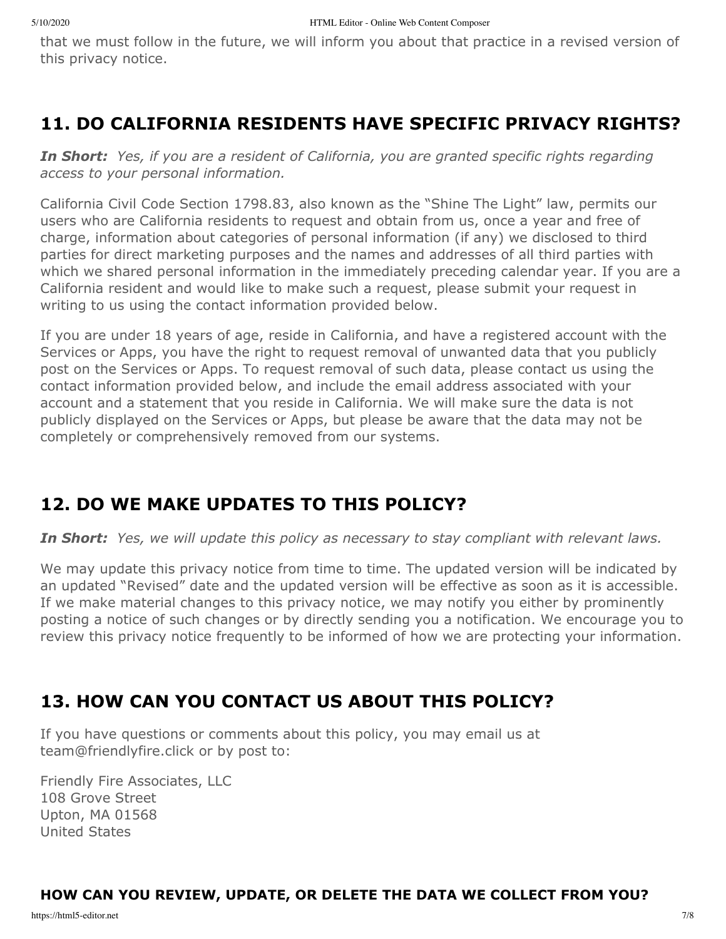that we must follow in the future, we will inform you about that practice in a revised version of this privacy notice.

### <span id="page-6-0"></span>**11. DO CALIFORNIA RESIDENTS HAVE SPECIFIC PRIVACY RIGHTS?**

*In Short: Yes, if you are a resident of California, you are granted specific rights regarding access to your personal information.*

California Civil Code Section 1798.83, also known as the "Shine The Light" law, permits our users who are California residents to request and obtain from us, once a year and free of charge, information about categories of personal information (if any) we disclosed to third parties for direct marketing purposes and the names and addresses of all third parties with which we shared personal information in the immediately preceding calendar year. If you are a California resident and would like to make such a request, please submit your request in writing to us using the contact information provided below.

If you are under 18 years of age, reside in California, and have a registered account with the Services or Apps, you have the right to request removal of unwanted data that you publicly post on the Services or Apps. To request removal of such data, please contact us using the contact information provided below, and include the email address associated with your account and a statement that you reside in California. We will make sure the data is not publicly displayed on the Services or Apps, but please be aware that the data may not be completely or comprehensively removed from our systems.

# <span id="page-6-1"></span>**12. DO WE MAKE UPDATES TO THIS POLICY?**

*In Short: Yes, we will update this policy as necessary to stay compliant with relevant laws.*

We may update this privacy notice from time to time. The updated version will be indicated by an updated "Revised" date and the updated version will be effective as soon as it is accessible. If we make material changes to this privacy notice, we may notify you either by prominently posting a notice of such changes or by directly sending you a notification. We encourage you to review this privacy notice frequently to be informed of how we are protecting your information.

# <span id="page-6-2"></span>**13. HOW CAN YOU CONTACT US ABOUT THIS POLICY?**

If you have questions or comments about this policy, you may email us at team@friendlyfire.click or by post to:

Friendly Fire Associates, LLC 108 Grove Street Upton, MA 01568 United States

#### **HOW CAN YOU REVIEW, UPDATE, OR DELETE THE DATA WE COLLECT FROM YOU?**